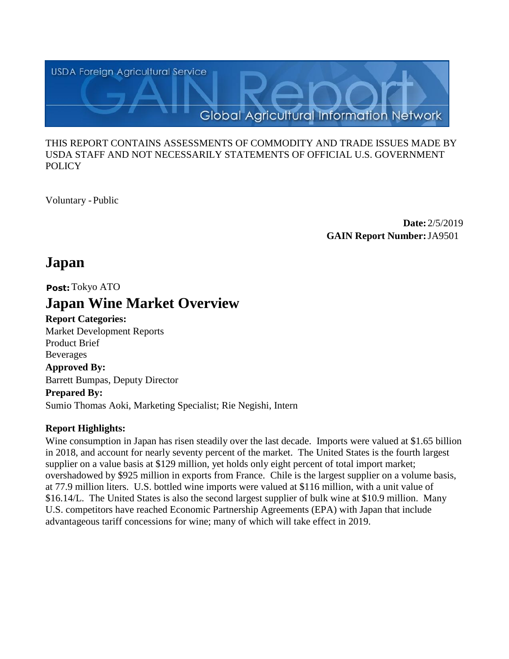

#### THIS REPORT CONTAINS ASSESSMENTS OF COMMODITY AND TRADE ISSUES MADE BY USDA STAFF AND NOT NECESSARILY STATEMENTS OF OFFICIAL U.S. GOVERNMENT **POLICY**

Voluntary -Public

**Date:** 2/5/2019 **GAIN Report Number:**JA9501

# **Japan**

**Post:**Tokyo ATO

# **Japan Wine Market Overview**

**Report Categories:**

Market Development Reports Product Brief Beverages **Approved By:** 

Barrett Bumpas, Deputy Director

## **Prepared By:**

Sumio Thomas Aoki, Marketing Specialist; Rie Negishi, Intern

# **Report Highlights:**

Wine consumption in Japan has risen steadily over the last decade. Imports were valued at \$1.65 billion in 2018, and account for nearly seventy percent of the market. The United States is the fourth largest supplier on a value basis at \$129 million, yet holds only eight percent of total import market; overshadowed by \$925 million in exports from France. Chile is the largest supplier on a volume basis, at 77.9 million liters. U.S. bottled wine imports were valued at \$116 million, with a unit value of \$16.14/L. The United States is also the second largest supplier of bulk wine at \$10.9 million. Many U.S. competitors have reached Economic Partnership Agreements (EPA) with Japan that include advantageous tariff concessions for wine; many of which will take effect in 2019.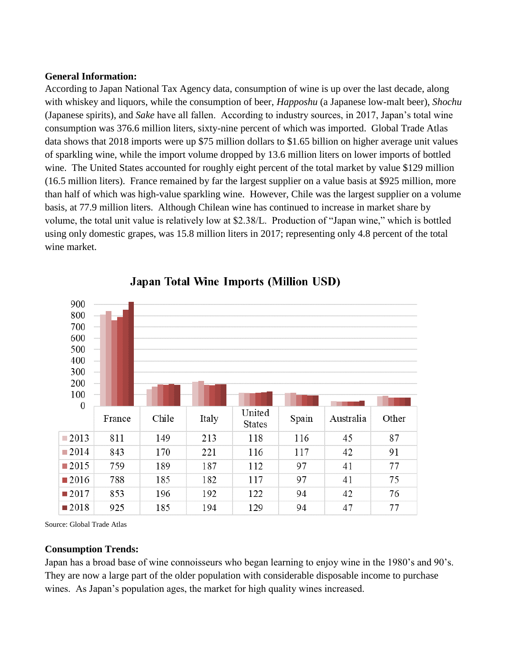#### **General Information:**

According to Japan National Tax Agency data, consumption of wine is up over the last decade, along with whiskey and liquors, while the consumption of beer, *Happoshu* (a Japanese low-malt beer), *Shochu*  (Japanese spirits), and *Sake* have all fallen. According to industry sources, in 2017, Japan's total wine consumption was 376.6 million liters, sixty-nine percent of which was imported. Global Trade Atlas data shows that 2018 imports were up \$75 million dollars to \$1.65 billion on higher average unit values of sparkling wine, while the import volume dropped by 13.6 million liters on lower imports of bottled wine. The United States accounted for roughly eight percent of the total market by value \$129 million (16.5 million liters). France remained by far the largest supplier on a value basis at \$925 million, more than half of which was high-value sparkling wine. However, Chile was the largest supplier on a volume basis, at 77.9 million liters. Although Chilean wine has continued to increase in market share by volume, the total unit value is relatively low at \$2.38/L. Production of "Japan wine," which is bottled using only domestic grapes, was 15.8 million liters in 2017; representing only 4.8 percent of the total wine market.



# **Japan Total Wine Imports (Million USD)**

Source: Global Trade Atlas

#### **Consumption Trends:**

Japan has a broad base of wine connoisseurs who began learning to enjoy wine in the 1980's and 90's. They are now a large part of the older population with considerable disposable income to purchase wines. As Japan's population ages, the market for high quality wines increased.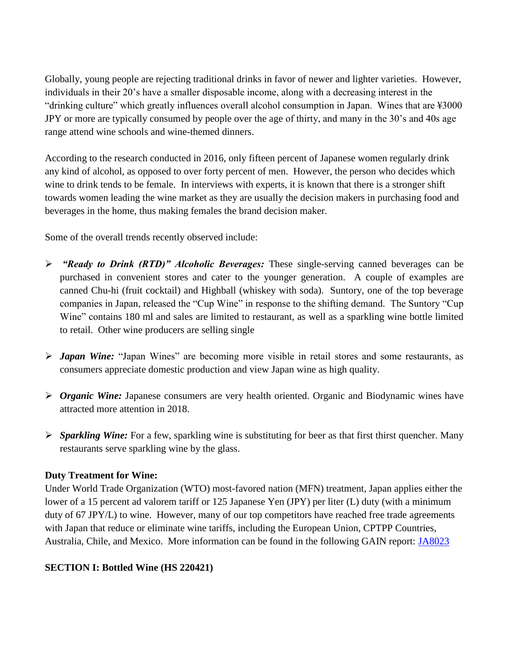Globally, young people are rejecting traditional drinks in favor of newer and lighter varieties. However, individuals in their 20's have a smaller disposable income, along with a decreasing interest in the "drinking culture" which greatly influences overall alcohol consumption in Japan. Wines that are ¥3000 JPY or more are typically consumed by people over the age of thirty, and many in the 30's and 40s age range attend wine schools and wine-themed dinners.

According to the research conducted in 2016, only fifteen percent of Japanese women regularly drink any kind of alcohol, as opposed to over forty percent of men. However, the person who decides which wine to drink tends to be female. In interviews with experts, it is known that there is a stronger shift towards women leading the wine market as they are usually the decision makers in purchasing food and beverages in the home, thus making females the brand decision maker.

Some of the overall trends recently observed include:

- *"Ready to Drink (RTD)" Alcoholic Beverages:* These single-serving canned beverages can be purchased in convenient stores and cater to the younger generation. A couple of examples are canned Chu-hi (fruit cocktail) and Highball (whiskey with soda). Suntory, one of the top beverage companies in Japan, released the "Cup Wine" in response to the shifting demand. The Suntory "Cup Wine" contains 180 ml and sales are limited to restaurant, as well as a sparkling wine bottle limited to retail. Other wine producers are selling single
- *Japan Wine:* "Japan Wines" are becoming more visible in retail stores and some restaurants, as consumers appreciate domestic production and view Japan wine as high quality.
- *Organic Wine:* Japanese consumers are very health oriented. Organic and Biodynamic wines have attracted more attention in 2018.
- *Sparkling Wine:* For a few, sparkling wine is substituting for beer as that first thirst quencher. Many restaurants serve sparkling wine by the glass.

## **Duty Treatment for Wine:**

Under World Trade Organization (WTO) most-favored nation (MFN) treatment, Japan applies either the lower of a 15 percent ad valorem tariff or 125 Japanese Yen (JPY) per liter (L) duty (with a minimum duty of 67 JPY/L) to wine. However, many of our top competitors have reached free trade agreements with Japan that reduce or eliminate wine tariffs, including the European Union, CPTPP Countries, Australia, Chile, and Mexico. More information can be found in the following GAIN report: [JA8023](https://gain.fas.usda.gov/Recent%20GAIN%20Publications/Japan%20Agreements%20Leave%20U.S.%20Wine%20Behind_Tokyo_Japan_4-13-2018.pdf) 

# **SECTION I: Bottled Wine (HS 220421)**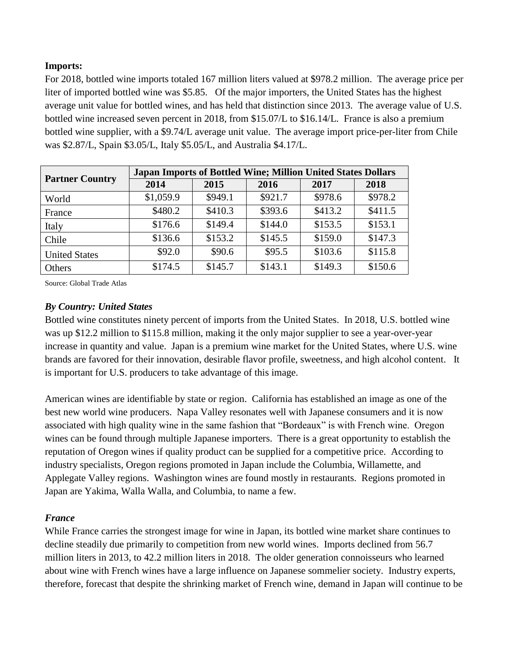## **Imports:**

For 2018, bottled wine imports totaled 167 million liters valued at \$978.2 million. The average price per liter of imported bottled wine was \$5.85. Of the major importers, the United States has the highest average unit value for bottled wines, and has held that distinction since 2013. The average value of U.S. bottled wine increased seven percent in 2018, from \$15.07/L to \$16.14/L. France is also a premium bottled wine supplier, with a \$9.74/L average unit value. The average import price-per-liter from Chile was \$2.87/L, Spain \$3.05/L, Italy \$5.05/L, and Australia \$4.17/L.

| <b>Partner Country</b> | <b>Japan Imports of Bottled Wine; Million United States Dollars</b> |         |         |         |         |  |
|------------------------|---------------------------------------------------------------------|---------|---------|---------|---------|--|
|                        | 2014                                                                | 2015    | 2016    | 2017    | 2018    |  |
| World                  | \$1,059.9                                                           | \$949.1 | \$921.7 | \$978.6 | \$978.2 |  |
| France                 | \$480.2                                                             | \$410.3 | \$393.6 | \$413.2 | \$411.5 |  |
| Italy                  | \$176.6                                                             | \$149.4 | \$144.0 | \$153.5 | \$153.1 |  |
| Chile                  | \$136.6                                                             | \$153.2 | \$145.5 | \$159.0 | \$147.3 |  |
| <b>United States</b>   | \$92.0                                                              | \$90.6  | \$95.5  | \$103.6 | \$115.8 |  |
| Others                 | \$174.5                                                             | \$145.7 | \$143.1 | \$149.3 | \$150.6 |  |

Source: Global Trade Atlas

# *By Country: United States*

Bottled wine constitutes ninety percent of imports from the United States. In 2018, U.S. bottled wine was up \$12.2 million to \$115.8 million, making it the only major supplier to see a year-over-year increase in quantity and value. Japan is a premium wine market for the United States, where U.S. wine brands are favored for their innovation, desirable flavor profile, sweetness, and high alcohol content. It is important for U.S. producers to take advantage of this image.

American wines are identifiable by state or region. California has established an image as one of the best new world wine producers. Napa Valley resonates well with Japanese consumers and it is now associated with high quality wine in the same fashion that "Bordeaux" is with French wine. Oregon wines can be found through multiple Japanese importers. There is a great opportunity to establish the reputation of Oregon wines if quality product can be supplied for a competitive price. According to industry specialists, Oregon regions promoted in Japan include the Columbia, Willamette, and Applegate Valley regions. Washington wines are found mostly in restaurants. Regions promoted in Japan are Yakima, Walla Walla, and Columbia, to name a few.

## *France*

While France carries the strongest image for wine in Japan, its bottled wine market share continues to decline steadily due primarily to competition from new world wines. Imports declined from 56.7 million liters in 2013, to 42.2 million liters in 2018. The older generation connoisseurs who learned about wine with French wines have a large influence on Japanese sommelier society. Industry experts, therefore, forecast that despite the shrinking market of French wine, demand in Japan will continue to be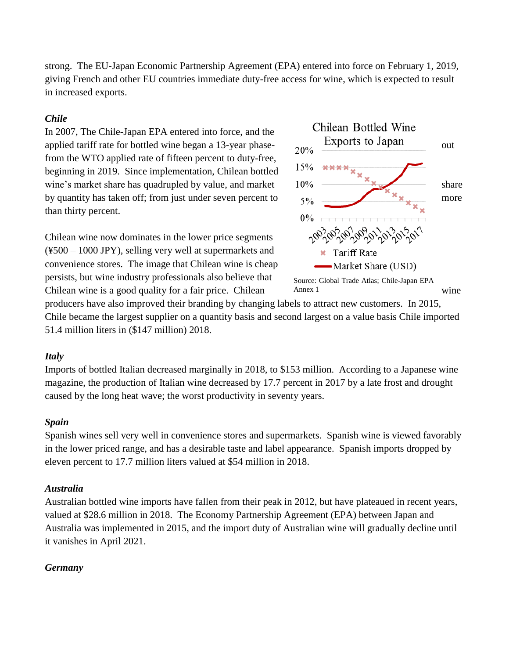strong. The EU-Japan Economic Partnership Agreement (EPA) entered into force on February 1, 2019, giving French and other EU countries immediate duty-free access for wine, which is expected to result in increased exports.

#### *Chile*

In 2007, The Chile-Japan EPA entered into force, and the applied tariff rate for bottled wine began a 13-year phase-  $20\%$  Exports to Japan out from the WTO applied rate of fifteen percent to duty-free, beginning in 2019. Since implementation, Chilean bottled wine's market share has quadrupled by value, and market  $10\%$   $\longrightarrow$  share by quantity has taken off; from just under seven percent to  $5\%$   $\frac{1}{2}\%$   $\frac{1}{2}\%$  more than thirty percent.

Chilean wine now dominates in the lower price segments (¥500 – 1000 JPY), selling very well at supermarkets and convenience stores. The image that Chilean wine is cheap persists, but wine industry professionals also believe that Chilean wine is a good quality for a fair price. Chilean Annex 1 wine



Annex 1

producers have also improved their branding by changing labels to attract new customers. In 2015, Chile became the largest supplier on a quantity basis and second largest on a value basis Chile imported 51.4 million liters in (\$147 million) 2018.

#### *Italy*

Imports of bottled Italian decreased marginally in 2018, to \$153 million. According to a Japanese wine magazine, the production of Italian wine decreased by 17.7 percent in 2017 by a late frost and drought caused by the long heat wave; the worst productivity in seventy years.

#### *Spain*

Spanish wines sell very well in convenience stores and supermarkets. Spanish wine is viewed favorably in the lower priced range, and has a desirable taste and label appearance. Spanish imports dropped by eleven percent to 17.7 million liters valued at \$54 million in 2018.

## *Australia*

Australian bottled wine imports have fallen from their peak in 2012, but have plateaued in recent years, valued at \$28.6 million in 2018. The Economy Partnership Agreement (EPA) between Japan and Australia was implemented in 2015, and the import duty of Australian wine will gradually decline until it vanishes in April 2021.

## *Germany*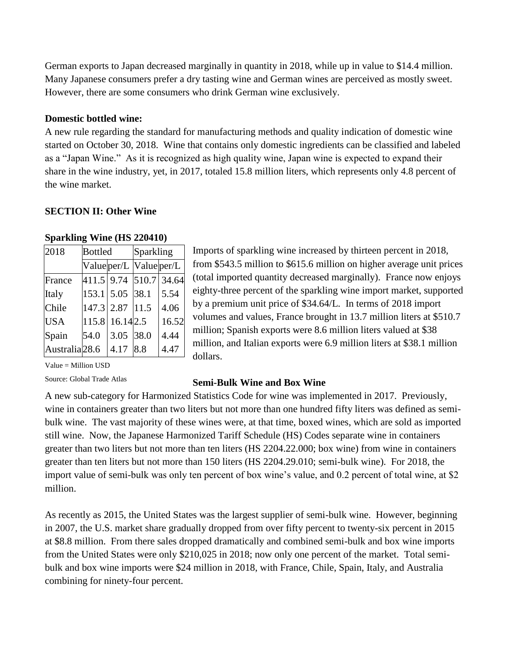German exports to Japan decreased marginally in quantity in 2018, while up in value to \$14.4 million. Many Japanese consumers prefer a dry tasting wine and German wines are perceived as mostly sweet. However, there are some consumers who drink German wine exclusively.

#### **Domestic bottled wine:**

A new rule regarding the standard for manufacturing methods and quality indication of domestic wine started on October 30, 2018. Wine that contains only domestic ingredients can be classified and labeled as a "Japan Wine." As it is recognized as high quality wine, Japan wine is expected to expand their share in the wine industry, yet, in 2017, totaled 15.8 million liters, which represents only 4.8 percent of the wine market.

#### **SECTION II: Other Wine**

| 2018                      | <b>Bottled</b> |                         | Sparkling |                        |  |
|---------------------------|----------------|-------------------------|-----------|------------------------|--|
|                           |                | Value per/L Value per/L |           |                        |  |
| France                    |                |                         |           | 411.5 9.74 510.7 34.64 |  |
| Italy                     |                | 153.1 5.05 38.1         |           | 5.54                   |  |
| Chile                     |                | 147.3 2.87 11.5         |           | 4.06                   |  |
| <b>USA</b>                |                | 115.8 16.14 2.5         |           | 16.52                  |  |
| Spain                     | 54.0           | 3.05 38.0               |           | 4.44                   |  |
| Australia <sub>28.6</sub> |                | 4.17 8.8                |           | 4.47                   |  |

Imports of sparkling wine increased by thirteen percent in 2018, from \$543.5 million to \$615.6 million on higher average unit prices (total imported quantity decreased marginally). France now enjoys eighty-three percent of the sparkling wine import market, supported by a premium unit price of \$34.64/L. In terms of 2018 import volumes and values, France brought in 13.7 million liters at \$510.7 million; Spanish exports were 8.6 million liters valued at \$38 million, and Italian exports were 6.9 million liters at \$38.1 million dollars.

Value = Million USD

Source: Global Trade Atlas

#### **Semi-Bulk Wine and Box Wine**

A new sub-category for Harmonized Statistics Code for wine was implemented in 2017. Previously, wine in containers greater than two liters but not more than one hundred fifty liters was defined as semibulk wine. The vast majority of these wines were, at that time, boxed wines, which are sold as imported still wine. Now, the Japanese Harmonized Tariff Schedule (HS) Codes separate wine in containers greater than two liters but not more than ten liters (HS 2204.22.000; box wine) from wine in containers greater than ten liters but not more than 150 liters (HS 2204.29.010; semi-bulk wine). For 2018, the import value of semi-bulk was only ten percent of box wine's value, and 0.2 percent of total wine, at \$2 million.

As recently as 2015, the United States was the largest supplier of semi-bulk wine. However, beginning in 2007, the U.S. market share gradually dropped from over fifty percent to twenty-six percent in 2015 at \$8.8 million. From there sales dropped dramatically and combined semi-bulk and box wine imports from the United States were only \$210,025 in 2018; now only one percent of the market. Total semibulk and box wine imports were \$24 million in 2018, with France, Chile, Spain, Italy, and Australia combining for ninety-four percent.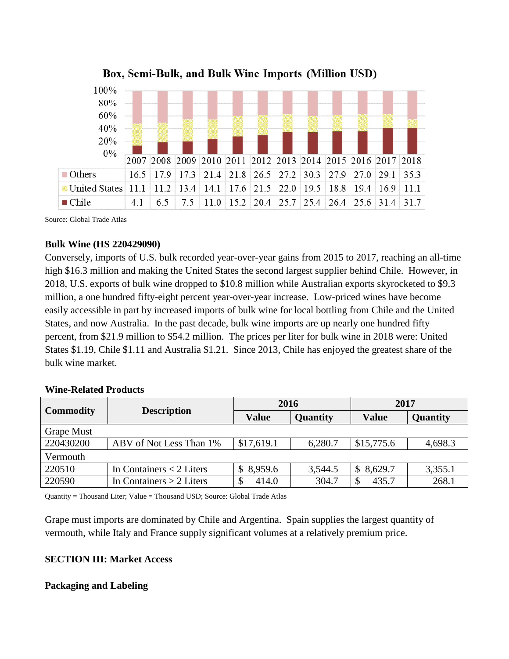

Box, Semi-Bulk, and Bulk Wine Imports (Million USD)

Source: Global Trade Atlas

#### **Bulk Wine (HS 220429090)**

Conversely, imports of U.S. bulk recorded year-over-year gains from 2015 to 2017, reaching an all-time high \$16.3 million and making the United States the second largest supplier behind Chile. However, in 2018, U.S. exports of bulk wine dropped to \$10.8 million while Australian exports skyrocketed to \$9.3 million, a one hundred fifty-eight percent year-over-year increase. Low-priced wines have become easily accessible in part by increased imports of bulk wine for local bottling from Chile and the United States, and now Australia. In the past decade, bulk wine imports are up nearly one hundred fifty percent, from \$21.9 million to \$54.2 million. The prices per liter for bulk wine in 2018 were: United States \$1.19, Chile \$1.11 and Australia \$1.21. Since 2013, Chile has enjoyed the greatest share of the bulk wine market.

#### **Wine-Related Products**

| <b>Commodity</b> | <b>Description</b>         | 2016         |          | 2017         |          |
|------------------|----------------------------|--------------|----------|--------------|----------|
|                  |                            | <b>Value</b> | Quantity | <b>Value</b> | Quantity |
| Grape Must       |                            |              |          |              |          |
| 220430200        | ABV of Not Less Than 1%    | \$17,619.1   | 6,280.7  | \$15,775.6   | 4,698.3  |
| Vermouth         |                            |              |          |              |          |
| 220510           | In Containers $<$ 2 Liters | \$8,959.6    | 3,544.5  | \$8,629.7    | 3,355.1  |
| 220590           | In Containers $> 2$ Liters | 414.0        | 304.7    | 435.7        | 268.1    |

Quantity = Thousand Liter; Value = Thousand USD; Source: Global Trade Atlas

Grape must imports are dominated by Chile and Argentina. Spain supplies the largest quantity of vermouth, while Italy and France supply significant volumes at a relatively premium price.

# **SECTION III: Market Access**

## **Packaging and Labeling**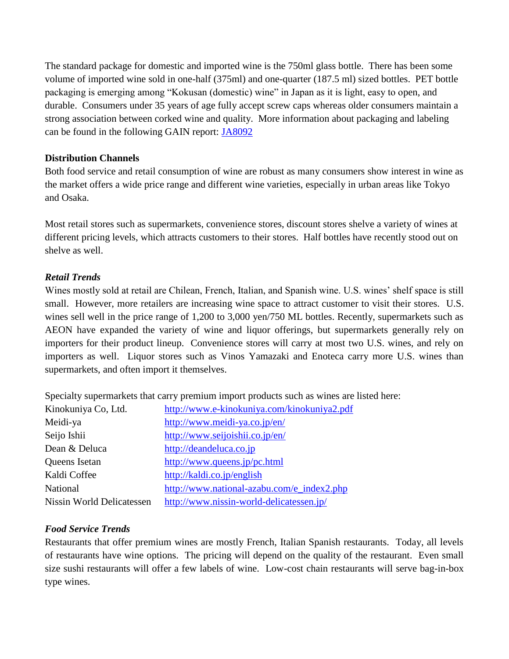The standard package for domestic and imported wine is the 750ml glass bottle. There has been some volume of imported wine sold in one-half (375ml) and one-quarter (187.5 ml) sized bottles. PET bottle packaging is emerging among "Kokusan (domestic) wine" in Japan as it is light, easy to open, and durable. Consumers under 35 years of age fully accept screw caps whereas older consumers maintain a strong association between corked wine and quality. More information about packaging and labeling can be found in the following GAIN report: [JA8092](http://gain.fas.usda.gov/Recent%20GAIN%20Publications/New%20Wine%20Labeling%20Standards%20Become%20Effective_Tokyo_Japan_11-2-2018.pdf)

# **Distribution Channels**

Both food service and retail consumption of wine are robust as many consumers show interest in wine as the market offers a wide price range and different wine varieties, especially in urban areas like Tokyo and Osaka.

Most retail stores such as supermarkets, convenience stores, discount stores shelve a variety of wines at different pricing levels, which attracts customers to their stores. Half bottles have recently stood out on shelve as well.

# *Retail Trends*

Wines mostly sold at retail are Chilean, French, Italian, and Spanish wine. U.S. wines' shelf space is still small. However, more retailers are increasing wine space to attract customer to visit their stores. U.S. wines sell well in the price range of 1,200 to 3,000 yen/750 ML bottles. Recently, supermarkets such as AEON have expanded the variety of wine and liquor offerings, but supermarkets generally rely on importers for their product lineup. Convenience stores will carry at most two U.S. wines, and rely on importers as well. Liquor stores such as Vinos Yamazaki and Enoteca carry more U.S. wines than supermarkets, and often import it themselves.

Specialty supermarkets that carry premium import products such as wines are listed here:

| Kinokuniya Co, Ltd.       | http://www.e-kinokuniya.com/kinokuniya2.pdf |
|---------------------------|---------------------------------------------|
| Meidi-ya                  | http://www.meidi-ya.co.jp/en/               |
| Seijo Ishii               | http://www.seijoishii.co.jp/en/             |
| Dean & Deluca             | http://deandeluca.co.jp                     |
| Queens Isetan             | http://www.queens.jp/pc.html                |
| Kaldi Coffee              | http://kaldi.co.jp/english                  |
| <b>National</b>           | http://www.national-azabu.com/e_index2.php  |
| Nissin World Delicatessen | http://www.nissin-world-delicatessen.jp/    |

# *Food Service Trends*

Restaurants that offer premium wines are mostly French, Italian Spanish restaurants. Today, all levels of restaurants have wine options. The pricing will depend on the quality of the restaurant. Even small size sushi restaurants will offer a few labels of wine. Low-cost chain restaurants will serve bag-in-box type wines.